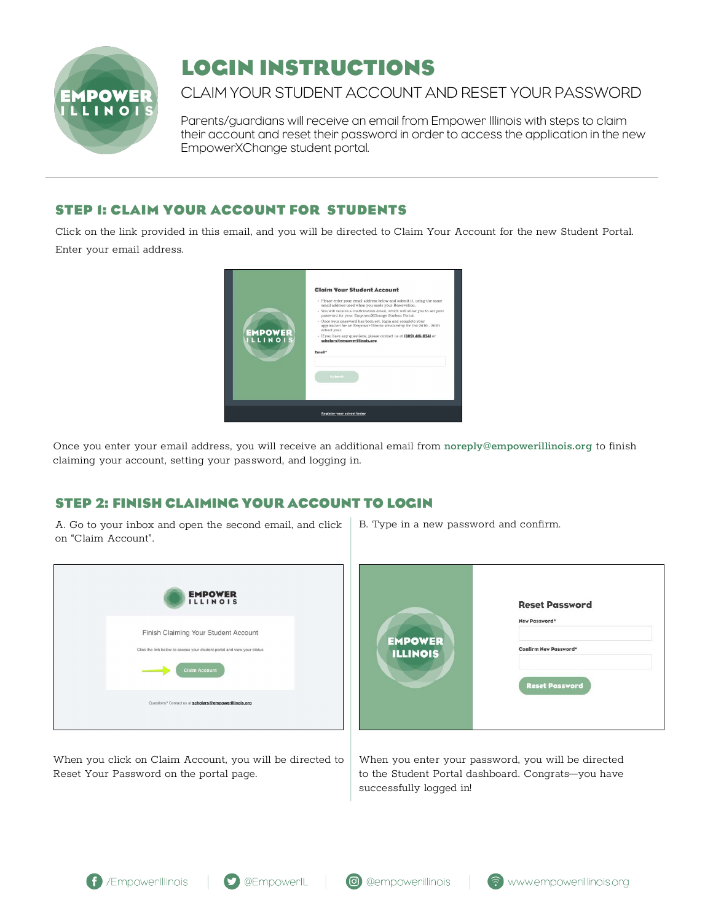

# **LOGIN INSTRUCTIONS**

## CLAIM YOUR STUDENT ACCOUNT AND RESET YOUR PASSWORD

Parents/guardians will receive an email from Empower Illinois with steps to claim their account and reset their password in order to access the application in the new EmpowerXChange student portal.

## **STEP 1: CLAIM YOUR ACCOUNT FOR STUDENTS**

Click on the link provided in this email, and you will be directed to Claim Your Account for the new Student Portal. Enter your email address.

| <b>EMPOWER</b><br><b>ILLINOIS</b> | <b>Claim Your Student Account</b><br>· Please enter your email address below and submit it, using the same<br>email address used when you made your Reservation.<br>- You will receive a confirmation email, which will allow you to set your<br>password for your EmpowerXChange Student Portal.<br>• Once your password has been set, login and complete your<br>application for an Empower Illinois scholarship for the 2019 - 2020.<br>school year.<br>· If you have any questions, please contact us at (309) 416-0741 or<br>scholars@empowerillinois.org<br>Email*<br>Submit |  |  |  |
|-----------------------------------|------------------------------------------------------------------------------------------------------------------------------------------------------------------------------------------------------------------------------------------------------------------------------------------------------------------------------------------------------------------------------------------------------------------------------------------------------------------------------------------------------------------------------------------------------------------------------------|--|--|--|
| <b>Register your school today</b> |                                                                                                                                                                                                                                                                                                                                                                                                                                                                                                                                                                                    |  |  |  |

Once you enter your email address, you will receive an additional email from noreply@empowerillinois.org to finish claiming your account, setting your password, and logging in.

## **STEP 2: FINISH CLAIMING YOUR ACCOUNT TO LOGIN**

A. Go to your inbox and open the second email, and click on "Claim Account".

| <b>EMPOWER</b><br><b>ILLINOIS</b>                                                                                                       |
|-----------------------------------------------------------------------------------------------------------------------------------------|
| Finish Claiming Your Student Account<br>Click the link below to access your student portal and view your status<br><b>Claim Account</b> |
| Questions? Contact us at scholars@empowerillinois.org                                                                                   |

When you click on Claim Account, you will be directed to Reset Your Password on the portal page.

B. Type in a new password and confirm.

| <b>EMPOWER</b><br><b>ILLINOIS</b> | <b>Reset Password</b><br>New Password*<br>Confirm New Password* |  |
|-----------------------------------|-----------------------------------------------------------------|--|
|                                   | <b>Reset Password</b>                                           |  |

When you enter your password, you will be directed to the Student Portal dashboard. Congrats—you have successfully logged in!